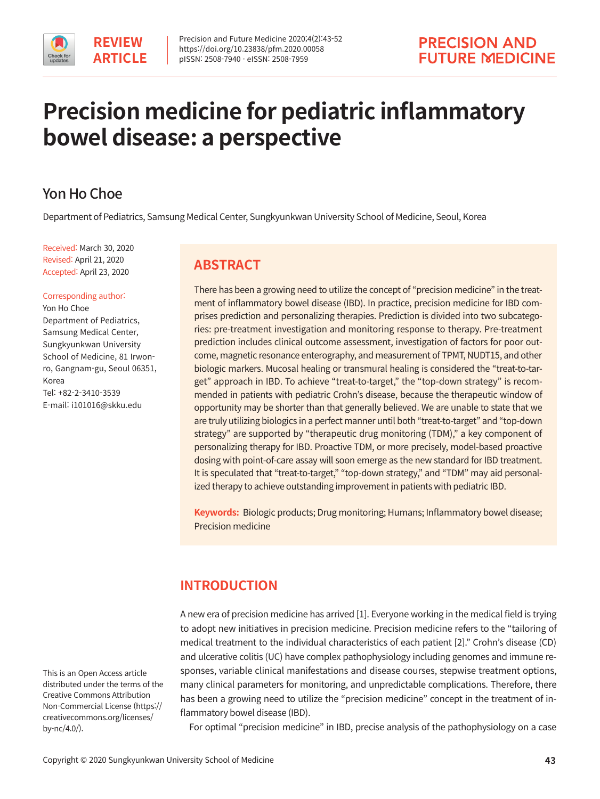# **Precision medicine for pediatric inflammatory bowel disease: a perspective**

# Yon Ho Choe

Department of Pediatrics, Samsung Medical Center, Sungkyunkwan University School of Medicine, Seoul, Korea

Received: March 30, 2020 Revised: April 21, 2020 Accepted: April 23, 2020

#### Corresponding author:

Yon Ho Choe Department of Pediatrics, Samsung Medical Center, Sungkyunkwan University School of Medicine, 81 Irwonro, Gangnam-gu, Seoul 06351, Korea Tel: +82-2-3410-3539 E-mail: i101016@skku.edu

# **ABSTRACT**

There has been a growing need to utilize the concept of "precision medicine" in the treatment of inflammatory bowel disease (IBD). In practice, precision medicine for IBD comprises prediction and personalizing therapies. Prediction is divided into two subcategories: pre-treatment investigation and monitoring response to therapy. Pre-treatment prediction includes clinical outcome assessment, investigation of factors for poor outcome, magnetic resonance enterography, and measurement of TPMT, NUDT15, and other biologic markers. Mucosal healing or transmural healing is considered the "treat-to-target" approach in IBD. To achieve "treat-to-target," the "top-down strategy" is recommended in patients with pediatric Crohn's disease, because the therapeutic window of opportunity may be shorter than that generally believed. We are unable to state that we are truly utilizing biologics in a perfect manner until both "treat-to-target" and "top-down strategy" are supported by "therapeutic drug monitoring (TDM)," a key component of personalizing therapy for IBD. Proactive TDM, or more precisely, model-based proactive dosing with point-of-care assay will soon emerge as the new standard for IBD treatment. It is speculated that "treat-to-target," "top-down strategy," and "TDM" may aid personalized therapy to achieve outstanding improvement in patients with pediatric IBD.

**Keywords:** Biologic products; Drug monitoring; Humans; Inflammatory bowel disease; Precision medicine

# **INTRODUCTION**

A new era of precision medicine has arrived [1]. Everyone working in the medical field is trying to adopt new initiatives in precision medicine. Precision medicine refers to the "tailoring of medical treatment to the individual characteristics of each patient [2]." Crohn's disease (CD) and ulcerative colitis (UC) have complex pathophysiology including genomes and immune responses, variable clinical manifestations and disease courses, stepwise treatment options, many clinical parameters for monitoring, and unpredictable complications. Therefore, there has been a growing need to utilize the "precision medicine" concept in the treatment of inflammatory bowel disease (IBD).

For optimal "precision medicine" in IBD, precise analysis of the pathophysiology on a case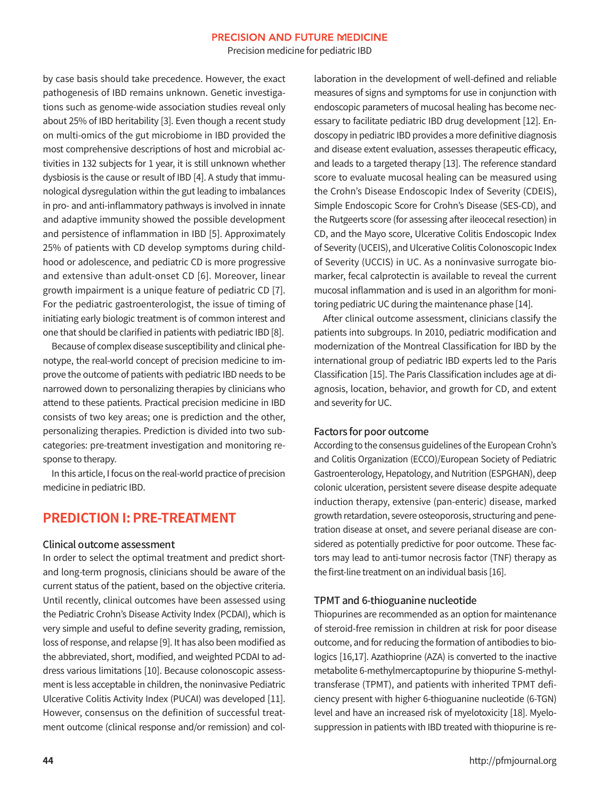Precision medicine for pediatric IBD

by case basis should take precedence. However, the exact pathogenesis of IBD remains unknown. Genetic investigations such as genome-wide association studies reveal only about 25% of IBD heritability [3]. Even though a recent study on multi-omics of the gut microbiome in IBD provided the most comprehensive descriptions of host and microbial activities in 132 subjects for 1 year, it is still unknown whether dysbiosis is the cause or result of IBD [4]. A study that immunological dysregulation within the gut leading to imbalances in pro- and anti-inflammatory pathways is involved in innate and adaptive immunity showed the possible development and persistence of inflammation in IBD [5]. Approximately 25% of patients with CD develop symptoms during childhood or adolescence, and pediatric CD is more progressive and extensive than adult-onset CD [6]. Moreover, linear growth impairment is a unique feature of pediatric CD [7]. For the pediatric gastroenterologist, the issue of timing of initiating early biologic treatment is of common interest and one that should be clarified in patients with pediatric IBD [8].

 Because of complex disease susceptibility and clinical phenotype, the real-world concept of precision medicine to improve the outcome of patients with pediatric IBD needs to be narrowed down to personalizing therapies by clinicians who attend to these patients. Practical precision medicine in IBD consists of two key areas; one is prediction and the other, personalizing therapies. Prediction is divided into two subcategories: pre-treatment investigation and monitoring response to therapy.

 In this article, I focus on the real-world practice of precision medicine in pediatric IBD.

# **PREDICTION I: PRE-TREATMENT**

#### Clinical outcome assessment

In order to select the optimal treatment and predict shortand long-term prognosis, clinicians should be aware of the current status of the patient, based on the objective criteria. Until recently, clinical outcomes have been assessed using the Pediatric Crohn's Disease Activity Index (PCDAI), which is very simple and useful to define severity grading, remission, loss of response, and relapse [9]. It has also been modified as the abbreviated, short, modified, and weighted PCDAI to address various limitations [10]. Because colonoscopic assessment is less acceptable in children, the noninvasive Pediatric Ulcerative Colitis Activity Index (PUCAI) was developed [11]. However, consensus on the definition of successful treatment outcome (clinical response and/or remission) and collaboration in the development of well-defined and reliable measures of signs and symptoms for use in conjunction with endoscopic parameters of mucosal healing has become necessary to facilitate pediatric IBD drug development [12]. Endoscopy in pediatric IBD provides a more definitive diagnosis and disease extent evaluation, assesses therapeutic efficacy, and leads to a targeted therapy [13]. The reference standard score to evaluate mucosal healing can be measured using the Crohn's Disease Endoscopic Index of Severity (CDEIS), Simple Endoscopic Score for Crohn's Disease (SES-CD), and the Rutgeerts score (for assessing after ileocecal resection) in CD, and the Mayo score, Ulcerative Colitis Endoscopic Index of Severity (UCEIS), and Ulcerative Colitis Colonoscopic Index of Severity (UCCIS) in UC. As a noninvasive surrogate biomarker, fecal calprotectin is available to reveal the current mucosal inflammation and is used in an algorithm for monitoring pediatric UC during the maintenance phase [14].

 After clinical outcome assessment, clinicians classify the patients into subgroups. In 2010, pediatric modification and modernization of the Montreal Classification for IBD by the international group of pediatric IBD experts led to the Paris Classification [15]. The Paris Classification includes age at diagnosis, location, behavior, and growth for CD, and extent and severity for UC.

#### Factors for poor outcome

According to the consensus guidelines of the European Crohn's and Colitis Organization (ECCO)/European Society of Pediatric Gastroenterology, Hepatology, and Nutrition (ESPGHAN), deep colonic ulceration, persistent severe disease despite adequate induction therapy, extensive (pan-enteric) disease, marked growth retardation, severe osteoporosis, structuring and penetration disease at onset, and severe perianal disease are considered as potentially predictive for poor outcome. These factors may lead to anti-tumor necrosis factor (TNF) therapy as the first-line treatment on an individual basis [16].

#### TPMT and 6-thioguanine nucleotide

Thiopurines are recommended as an option for maintenance of steroid-free remission in children at risk for poor disease outcome, and for reducing the formation of antibodies to biologics [16,17]. Azathioprine (AZA) is converted to the inactive metabolite 6-methylmercaptopurine by thiopurine S-methyltransferase (TPMT), and patients with inherited TPMT deficiency present with higher 6-thioguanine nucleotide (6-TGN) level and have an increased risk of myelotoxicity [18]. Myelosuppression in patients with IBD treated with thiopurine is re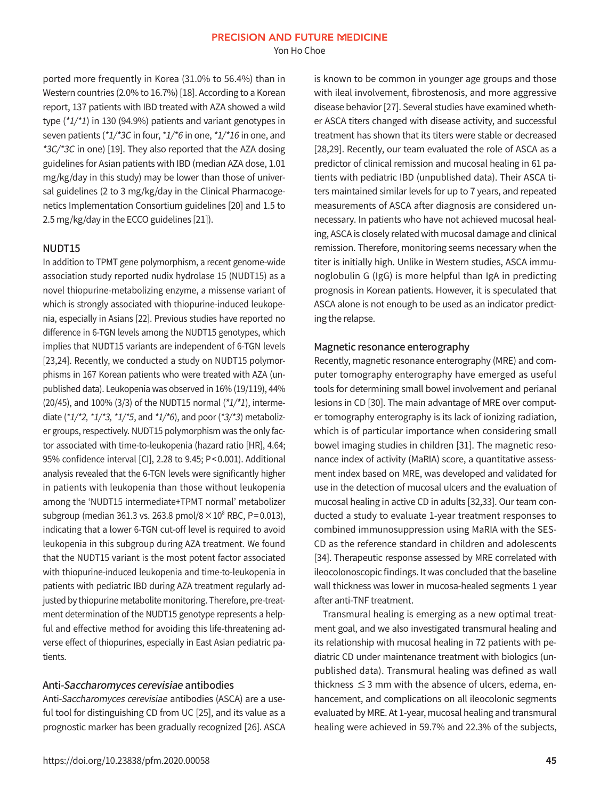Yon Ho Choe

ported more frequently in Korea (31.0% to 56.4%) than in Western countries (2.0% to 16.7%) [18]. According to a Korean report, 137 patients with IBD treated with AZA showed a wild type (\*1/\*1) in 130 (94.9%) patients and variant genotypes in seven patients (\*1/\*3C in four, \*1/\*6 in one, \*1/\*16 in one, and \*3C/\*3C in one) [19]. They also reported that the AZA dosing guidelines for Asian patients with IBD (median AZA dose, 1.01 mg/kg/day in this study) may be lower than those of universal guidelines (2 to 3 mg/kg/day in the Clinical Pharmacogenetics Implementation Consortium guidelines [20] and 1.5 to 2.5 mg/kg/day in the ECCO guidelines [21]).

#### NUDT15

In addition to TPMT gene polymorphism, a recent genome-wide association study reported nudix hydrolase 15 (NUDT15) as a novel thiopurine-metabolizing enzyme, a missense variant of which is strongly associated with thiopurine-induced leukopenia, especially in Asians [22]. Previous studies have reported no difference in 6-TGN levels among the NUDT15 genotypes, which implies that NUDT15 variants are independent of 6-TGN levels [23,24]. Recently, we conducted a study on NUDT15 polymorphisms in 167 Korean patients who were treated with AZA (unpublished data). Leukopenia was observed in 16% (19/119), 44% (20/45), and 100% (3/3) of the NUDT15 normal  $(*1/*1)$ , intermediate  $(*1/*2, *1/*3, *1/*5,$  and  $*1/*6$ ), and poor  $(*3/*3)$  metabolizer groups, respectively. NUDT15 polymorphism was the only factor associated with time-to-leukopenia (hazard ratio [HR], 4.64; 95% confidence interval [CI], 2.28 to 9.45; P< 0.001). Additional analysis revealed that the 6-TGN levels were significantly higher in patients with leukopenia than those without leukopenia among the 'NUDT15 intermediate+TPMT normal' metabolizer subgroup (median 361.3 vs. 263.8 pmol/8  $\times 10^{8}$  RBC, P=0.013), indicating that a lower 6-TGN cut-off level is required to avoid leukopenia in this subgroup during AZA treatment. We found that the NUDT15 variant is the most potent factor associated with thiopurine-induced leukopenia and time-to-leukopenia in patients with pediatric IBD during AZA treatment regularly adjusted by thiopurine metabolite monitoring. Therefore, pre-treatment determination of the NUDT15 genotype represents a helpful and effective method for avoiding this life-threatening adverse effect of thiopurines, especially in East Asian pediatric patients.

#### Anti-Saccharomyces cerevisiae antibodies

Anti-Saccharomyces cerevisiae antibodies (ASCA) are a useful tool for distinguishing CD from UC [25], and its value as a prognostic marker has been gradually recognized [26]. ASCA is known to be common in younger age groups and those with ileal involvement, fibrostenosis, and more aggressive disease behavior [27]. Several studies have examined whether ASCA titers changed with disease activity, and successful treatment has shown that its titers were stable or decreased [28,29]. Recently, our team evaluated the role of ASCA as a predictor of clinical remission and mucosal healing in 61 patients with pediatric IBD (unpublished data). Their ASCA titers maintained similar levels for up to 7 years, and repeated measurements of ASCA after diagnosis are considered unnecessary. In patients who have not achieved mucosal healing, ASCA is closely related with mucosal damage and clinical remission. Therefore, monitoring seems necessary when the titer is initially high. Unlike in Western studies, ASCA immunoglobulin G (IgG) is more helpful than IgA in predicting prognosis in Korean patients. However, it is speculated that ASCA alone is not enough to be used as an indicator predicting the relapse.

#### Magnetic resonance enterography

Recently, magnetic resonance enterography (MRE) and computer tomography enterography have emerged as useful tools for determining small bowel involvement and perianal lesions in CD [30]. The main advantage of MRE over computer tomography enterography is its lack of ionizing radiation, which is of particular importance when considering small bowel imaging studies in children [31]. The magnetic resonance index of activity (MaRIA) score, a quantitative assessment index based on MRE, was developed and validated for use in the detection of mucosal ulcers and the evaluation of mucosal healing in active CD in adults [32,33]. Our team conducted a study to evaluate 1-year treatment responses to combined immunosuppression using MaRIA with the SES-CD as the reference standard in children and adolescents [34]. Therapeutic response assessed by MRE correlated with ileocolonoscopic findings. It was concluded that the baseline wall thickness was lower in mucosa-healed segments 1 year after anti-TNF treatment.

 Transmural healing is emerging as a new optimal treatment goal, and we also investigated transmural healing and its relationship with mucosal healing in 72 patients with pediatric CD under maintenance treatment with biologics (unpublished data). Transmural healing was defined as wall thickness  $\leq$  3 mm with the absence of ulcers, edema, enhancement, and complications on all ileocolonic segments evaluated by MRE. At 1-year, mucosal healing and transmural healing were achieved in 59.7% and 22.3% of the subjects,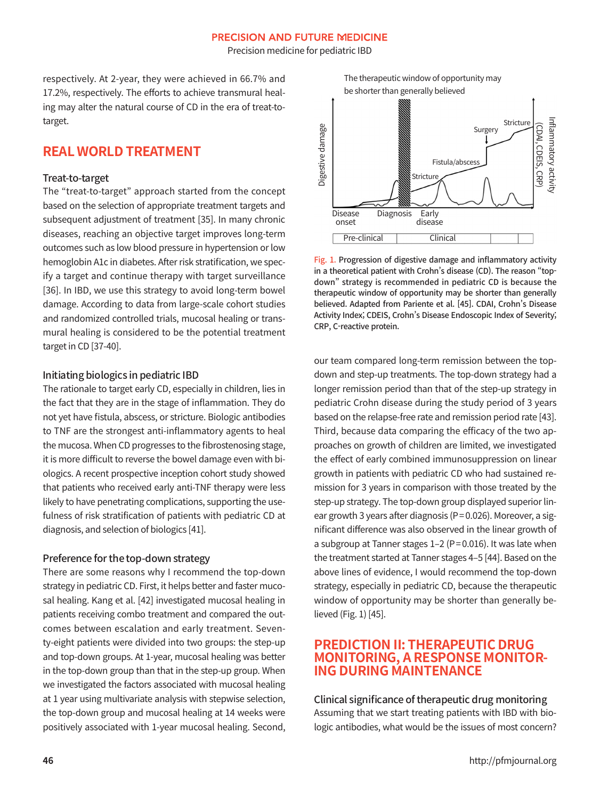Precision medicine for pediatric IBD

respectively. At 2-year, they were achieved in 66.7% and 17.2%, respectively. The efforts to achieve transmural healing may alter the natural course of CD in the era of treat-totarget.

### **REAL WORLD TREATMENT**

#### Treat-to-target

The "treat-to-target" approach started from the concept based on the selection of appropriate treatment targets and subsequent adjustment of treatment [35]. In many chronic diseases, reaching an objective target improves long-term outcomes such as low blood pressure in hypertension or low hemoglobin A1c in diabetes. After risk stratification, we specify a target and continue therapy with target surveillance [36]. In IBD, we use this strategy to avoid long-term bowel damage. According to data from large-scale cohort studies and randomized controlled trials, mucosal healing or transmural healing is considered to be the potential treatment target in CD [37-40].

#### Initiating biologics in pediatric IBD

The rationale to target early CD, especially in children, lies in the fact that they are in the stage of inflammation. They do not yet have fistula, abscess, or stricture. Biologic antibodies to TNF are the strongest anti-inflammatory agents to heal the mucosa. When CD progresses to the fibrostenosing stage, it is more difficult to reverse the bowel damage even with biologics. A recent prospective inception cohort study showed that patients who received early anti-TNF therapy were less likely to have penetrating complications, supporting the usefulness of risk stratification of patients with pediatric CD at diagnosis, and selection of biologics [41].

#### Preference for the top-down strategy

There are some reasons why I recommend the top-down strategy in pediatric CD. First, it helps better and faster mucosal healing. Kang et al. [42] investigated mucosal healing in patients receiving combo treatment and compared the outcomes between escalation and early treatment. Seventy-eight patients were divided into two groups: the step-up and top-down groups. At 1-year, mucosal healing was better in the top-down group than that in the step-up group. When we investigated the factors associated with mucosal healing at 1 year using multivariate analysis with stepwise selection, the top-down group and mucosal healing at 14 weeks were positively associated with 1-year mucosal healing. Second,





Fig. 1. Progression of digestive damage and inflammatory activity in a theoretical patient with Crohn's disease (CD). The reason "topdown" strategy is recommended in pediatric CD is because the therapeutic window of opportunity may be shorter than generally believed. Adapted from Pariente et al. [45]. CDAI, Crohn's Disease Activity Index; CDEIS, Crohn's Disease Endoscopic Index of Severity; CRP, C-reactive protein.

our team compared long-term remission between the topdown and step-up treatments. The top-down strategy had a longer remission period than that of the step-up strategy in pediatric Crohn disease during the study period of 3 years based on the relapse-free rate and remission period rate [43]. Third, because data comparing the efficacy of the two approaches on growth of children are limited, we investigated the effect of early combined immunosuppression on linear growth in patients with pediatric CD who had sustained remission for 3 years in comparison with those treated by the step-up strategy. The top-down group displayed superior linear growth 3 years after diagnosis (P= 0.026). Moreover, a significant difference was also observed in the linear growth of a subgroup at Tanner stages 1–2 (P= 0.016). It was late when the treatment started at Tanner stages 4–5 [44]. Based on the above lines of evidence, I would recommend the top-down strategy, especially in pediatric CD, because the therapeutic window of opportunity may be shorter than generally believed (Fig. 1) [45].

# **PREDICTION II: THERAPEUTIC DRUG MONITORING, A RESPONSE MONITOR- ING DURING MAINTENANCE**

#### Clinical significance of therapeutic drug monitoring

Assuming that we start treating patients with IBD with biologic antibodies, what would be the issues of most concern?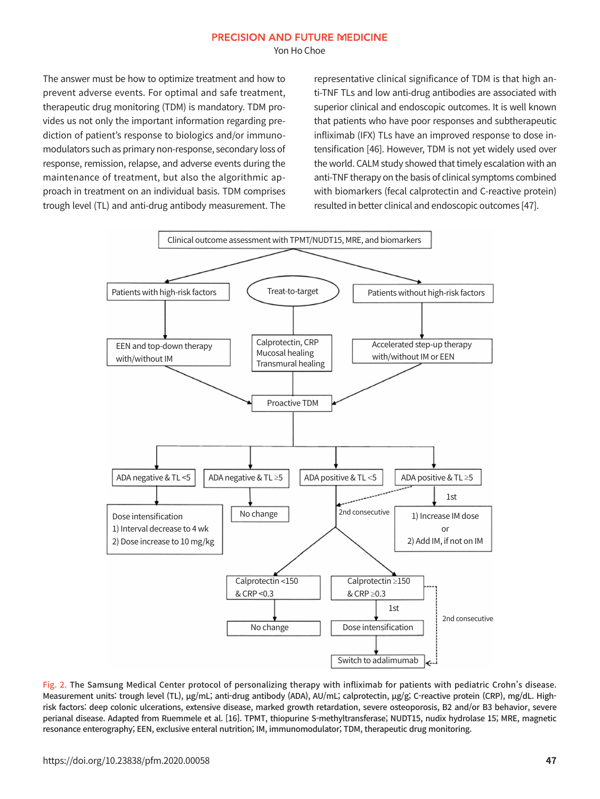Yon Ho Choe

The answer must be how to optimize treatment and how to prevent adverse events. For optimal and safe treatment, therapeutic drug monitoring (TDM) is mandatory. TDM provides us not only the important information regarding prediction of patient's response to biologics and/or immunomodulators such as primary non-response, secondary loss of response, remission, relapse, and adverse events during the maintenance of treatment, but also the algorithmic approach in treatment on an individual basis. TDM comprises trough level (TL) and anti-drug antibody measurement. The

representative clinical significance of TDM is that high anti-TNF TLs and low anti-drug antibodies are associated with superior clinical and endoscopic outcomes. It is well known that patients who have poor responses and subtherapeutic infliximab (IFX) TLs have an improved response to dose intensification [46]. However, TDM is not yet widely used over the world. CALM study showed that timely escalation with an anti-TNF therapy on the basis of clinical symptoms combined with biomarkers (fecal calprotectin and C-reactive protein) resulted in better clinical and endoscopic outcomes [47].



Fig. 2. The Samsung Medical Center protocol of personalizing therapy with infliximab for patients with pediatric Crohn's disease. Measurement units: trough level (TL), μg/mL; anti-drug antibody (ADA), AU/mL; calprotectin, μg/g; C-reactive protein (CRP), mg/dL. Highrisk factors: deep colonic ulcerations, extensive disease, marked growth retardation, severe osteoporosis, B2 and/or B3 behavior, severe perianal disease. Adapted from Ruemmele et al. [16]. TPMT, thiopurine S-methyltransferase; NUDT15, nudix hydrolase 15; MRE, magnetic resonance enterography; EEN, exclusive enteral nutrition; IM, immunomodulator; TDM, therapeutic drug monitoring.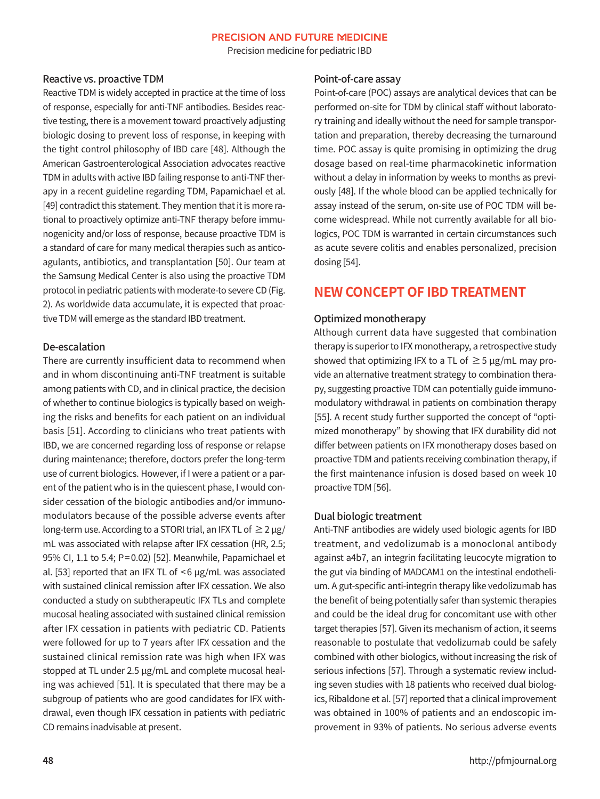Precision medicine for pediatric IBD

#### Reactive vs. proactive TDM

Reactive TDM is widely accepted in practice at the time of loss of response, especially for anti-TNF antibodies. Besides reactive testing, there is a movement toward proactively adjusting biologic dosing to prevent loss of response, in keeping with the tight control philosophy of IBD care [48]. Although the American Gastroenterological Association advocates reactive TDM in adults with active IBD failing response to anti-TNF therapy in a recent guideline regarding TDM, Papamichael et al. [49] contradict this statement. They mention that it is more rational to proactively optimize anti-TNF therapy before immunogenicity and/or loss of response, because proactive TDM is a standard of care for many medical therapies such as anticoagulants, antibiotics, and transplantation [50]. Our team at the Samsung Medical Center is also using the proactive TDM protocol in pediatric patients with moderate-to severe CD (Fig. 2). As worldwide data accumulate, it is expected that proactive TDM will emerge as the standard IBD treatment.

#### De-escalation

There are currently insufficient data to recommend when and in whom discontinuing anti-TNF treatment is suitable among patients with CD, and in clinical practice, the decision of whether to continue biologics is typically based on weighing the risks and benefits for each patient on an individual basis [51]. According to clinicians who treat patients with IBD, we are concerned regarding loss of response or relapse during maintenance; therefore, doctors prefer the long-term use of current biologics. However, if I were a patient or a parent of the patient who is in the quiescent phase, I would consider cessation of the biologic antibodies and/or immunomodulators because of the possible adverse events after long-term use. According to a STORI trial, an IFX TL of  $\geq 2 \mu$ g/ mL was associated with relapse after IFX cessation (HR, 2.5; 95% CI, 1.1 to 5.4; P= 0.02) [52]. Meanwhile, Papamichael et al. [53] reported that an IFX TL of < 6 μg/mL was associated with sustained clinical remission after IFX cessation. We also conducted a study on subtherapeutic IFX TLs and complete mucosal healing associated with sustained clinical remission after IFX cessation in patients with pediatric CD. Patients were followed for up to 7 years after IFX cessation and the sustained clinical remission rate was high when IFX was stopped at TL under 2.5 μg/mL and complete mucosal healing was achieved [51]. It is speculated that there may be a subgroup of patients who are good candidates for IFX withdrawal, even though IFX cessation in patients with pediatric CD remains inadvisable at present.

#### Point-of-care assay

Point-of-care (POC) assays are analytical devices that can be performed on-site for TDM by clinical staff without laboratory training and ideally without the need for sample transportation and preparation, thereby decreasing the turnaround time. POC assay is quite promising in optimizing the drug dosage based on real-time pharmacokinetic information without a delay in information by weeks to months as previously [48]. If the whole blood can be applied technically for assay instead of the serum, on-site use of POC TDM will become widespread. While not currently available for all biologics, POC TDM is warranted in certain circumstances such as acute severe colitis and enables personalized, precision dosing [54].

### **NEW CONCEPT OF IBD TREATMENT**

#### Optimized monotherapy

Although current data have suggested that combination therapy is superior to IFX monotherapy, a retrospective study showed that optimizing IFX to a TL of  $\geq$  5  $\mu$ g/mL may provide an alternative treatment strategy to combination therapy, suggesting proactive TDM can potentially guide immunomodulatory withdrawal in patients on combination therapy [55]. A recent study further supported the concept of "optimized monotherapy" by showing that IFX durability did not differ between patients on IFX monotherapy doses based on proactive TDM and patients receiving combination therapy, if the first maintenance infusion is dosed based on week 10 proactive TDM [56].

#### Dual biologic treatment

Anti-TNF antibodies are widely used biologic agents for IBD treatment, and vedolizumab is a monoclonal antibody against a4b7, an integrin facilitating leucocyte migration to the gut via binding of MADCAM1 on the intestinal endothelium. A gut-specific anti-integrin therapy like vedolizumab has the benefit of being potentially safer than systemic therapies and could be the ideal drug for concomitant use with other target therapies [57]. Given its mechanism of action, it seems reasonable to postulate that vedolizumab could be safely combined with other biologics, without increasing the risk of serious infections [57]. Through a systematic review including seven studies with 18 patients who received dual biologics, Ribaldone et al. [57] reported that a clinical improvement was obtained in 100% of patients and an endoscopic improvement in 93% of patients. No serious adverse events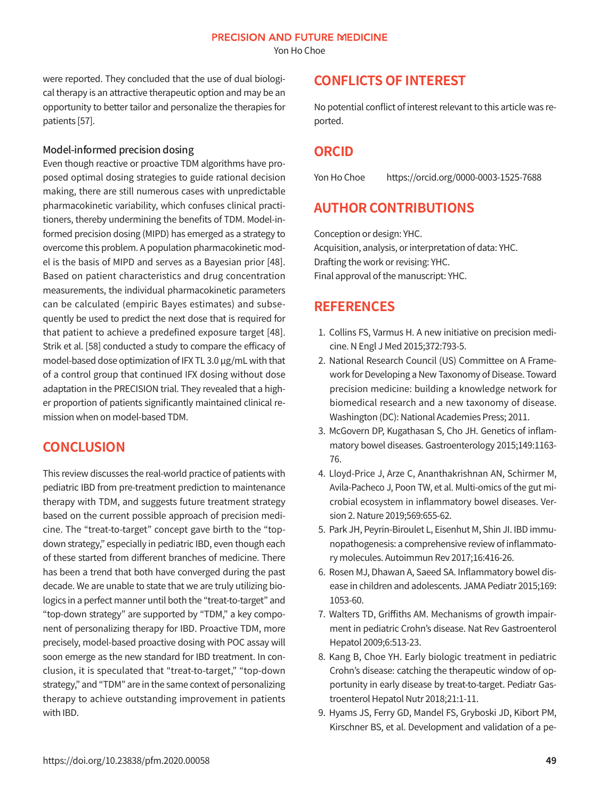Yon Ho Choe

were reported. They concluded that the use of dual biological therapy is an attractive therapeutic option and may be an opportunity to better tailor and personalize the therapies for patients [57].

#### Model-informed precision dosing

Even though reactive or proactive TDM algorithms have proposed optimal dosing strategies to guide rational decision making, there are still numerous cases with unpredictable pharmacokinetic variability, which confuses clinical practitioners, thereby undermining the benefits of TDM. Model-informed precision dosing (MIPD) has emerged as a strategy to overcome this problem. A population pharmacokinetic model is the basis of MIPD and serves as a Bayesian prior [48]. Based on patient characteristics and drug concentration measurements, the individual pharmacokinetic parameters can be calculated (empiric Bayes estimates) and subsequently be used to predict the next dose that is required for that patient to achieve a predefined exposure target [48]. Strik et al. [58] conducted a study to compare the efficacy of model-based dose optimization of IFX TL 3.0 μg/mL with that of a control group that continued IFX dosing without dose adaptation in the PRECISION trial. They revealed that a higher proportion of patients significantly maintained clinical remission when on model-based TDM.

# **CONCLUSION**

This review discusses the real-world practice of patients with pediatric IBD from pre-treatment prediction to maintenance therapy with TDM, and suggests future treatment strategy based on the current possible approach of precision medicine. The "treat-to-target" concept gave birth to the "topdown strategy," especially in pediatric IBD, even though each of these started from different branches of medicine. There has been a trend that both have converged during the past decade. We are unable to state that we are truly utilizing biologics in a perfect manner until both the "treat-to-target" and "top-down strategy" are supported by "TDM," a key component of personalizing therapy for IBD. Proactive TDM, more precisely, model-based proactive dosing with POC assay will soon emerge as the new standard for IBD treatment. In conclusion, it is speculated that "treat-to-target," "top-down strategy," and "TDM" are in the same context of personalizing therapy to achieve outstanding improvement in patients with IBD.

# **CONFLICTS OF INTEREST**

No potential conflict of interest relevant to this article was reported.

# **ORCID**

Yon Ho Choe https://orcid.org/0000-0003-1525-7688

# **AUTHOR CONTRIBUTIONS**

Conception or design: YHC. Acquisition, analysis, or interpretation of data: YHC. Drafting the work or revising: YHC. Final approval of the manuscript: YHC.

# **REFERENCES**

- 1. Collins FS, Varmus H. A new initiative on precision medicine. N Engl J Med 2015;372:793-5.
- 2. National Research Council (US) Committee on A Framework for Developing a New Taxonomy of Disease. Toward precision medicine: building a knowledge network for biomedical research and a new taxonomy of disease. Washington (DC): National Academies Press; 2011.
- 3. McGovern DP, Kugathasan S, Cho JH. Genetics of inflammatory bowel diseases. Gastroenterology 2015;149:1163- 76.
- 4. Lloyd-Price J, Arze C, Ananthakrishnan AN, Schirmer M, Avila-Pacheco J, Poon TW, et al. Multi-omics of the gut microbial ecosystem in inflammatory bowel diseases. Version 2. Nature 2019;569:655-62.
- 5. Park JH, Peyrin-Biroulet L, Eisenhut M, Shin JI. IBD immunopathogenesis: a comprehensive review of inflammatory molecules. Autoimmun Rev 2017;16:416-26.
- 6. Rosen MJ, Dhawan A, Saeed SA. Inflammatory bowel disease in children and adolescents. JAMA Pediatr 2015;169: 1053-60.
- 7. Walters TD, Griffiths AM. Mechanisms of growth impairment in pediatric Crohn's disease. Nat Rev Gastroenterol Hepatol 2009;6:513-23.
- 8. Kang B, Choe YH. Early biologic treatment in pediatric Crohn's disease: catching the therapeutic window of opportunity in early disease by treat-to-target. Pediatr Gastroenterol Hepatol Nutr 2018;21:1-11.
- 9. Hyams JS, Ferry GD, Mandel FS, Gryboski JD, Kibort PM, Kirschner BS, et al. Development and validation of a pe-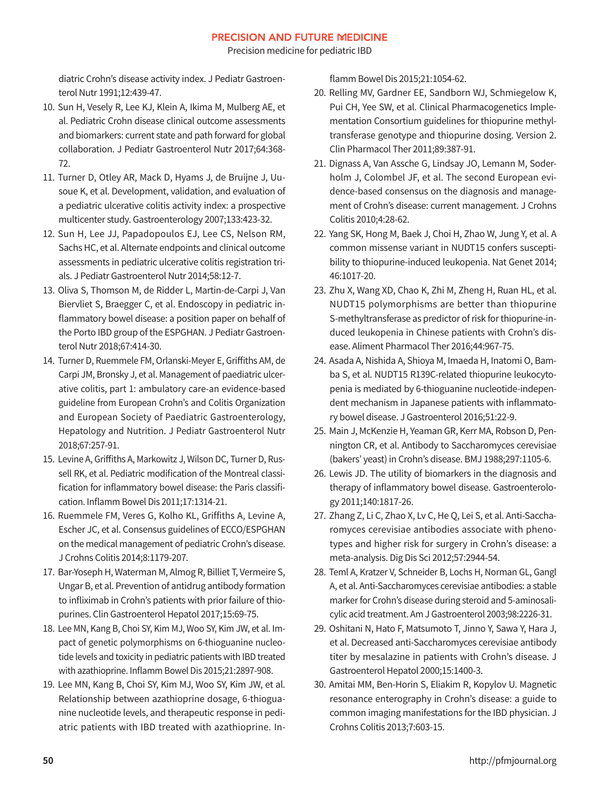Precision medicine for pediatric IBD

diatric Crohn's disease activity index. J Pediatr Gastroenterol Nutr 1991;12:439-47.

- 10. Sun H, Vesely R, Lee KJ, Klein A, Ikima M, Mulberg AE, et al. Pediatric Crohn disease clinical outcome assessments and biomarkers: current state and path forward for global collaboration. J Pediatr Gastroenterol Nutr 2017;64:368- 72.
- 11. Turner D, Otley AR, Mack D, Hyams J, de Bruijne J, Uusoue K, et al. Development, validation, and evaluation of a pediatric ulcerative colitis activity index: a prospective multicenter study. Gastroenterology 2007;133:423-32.
- 12. Sun H, Lee JJ, Papadopoulos EJ, Lee CS, Nelson RM, Sachs HC, et al. Alternate endpoints and clinical outcome assessments in pediatric ulcerative colitis registration trials. J Pediatr Gastroenterol Nutr 2014;58:12-7.
- 13. Oliva S, Thomson M, de Ridder L, Martin-de-Carpi J, Van Biervliet S, Braegger C, et al. Endoscopy in pediatric inflammatory bowel disease: a position paper on behalf of the Porto IBD group of the ESPGHAN. J Pediatr Gastroenterol Nutr 2018;67:414-30.
- 14. Turner D, Ruemmele FM, Orlanski-Meyer E, Griffiths AM, de Carpi JM, Bronsky J, et al. Management of paediatric ulcerative colitis, part 1: ambulatory care-an evidence-based guideline from European Crohn's and Colitis Organization and European Society of Paediatric Gastroenterology, Hepatology and Nutrition. J Pediatr Gastroenterol Nutr 2018;67:257-91.
- 15. Levine A, Griffiths A, Markowitz J, Wilson DC, Turner D, Russell RK, et al. Pediatric modification of the Montreal classification for inflammatory bowel disease: the Paris classification. Inflamm Bowel Dis 2011;17:1314-21.
- 16. Ruemmele FM, Veres G, Kolho KL, Griffiths A, Levine A, Escher JC, et al. Consensus guidelines of ECCO/ESPGHAN on the medical management of pediatric Crohn's disease. J Crohns Colitis 2014;8:1179-207.
- 17. Bar-Yoseph H, Waterman M, Almog R, Billiet T, Vermeire S, Ungar B, et al. Prevention of antidrug antibody formation to infliximab in Crohn's patients with prior failure of thiopurines. Clin Gastroenterol Hepatol 2017;15:69-75.
- 18. Lee MN, Kang B, Choi SY, Kim MJ, Woo SY, Kim JW, et al. Impact of genetic polymorphisms on 6-thioguanine nucleotide levels and toxicity in pediatric patients with IBD treated with azathioprine. Inflamm Bowel Dis 2015;21:2897-908.
- 19. Lee MN, Kang B, Choi SY, Kim MJ, Woo SY, Kim JW, et al. Relationship between azathioprine dosage, 6-thioguanine nucleotide levels, and therapeutic response in pediatric patients with IBD treated with azathioprine. In-

flamm Bowel Dis 2015;21:1054-62.

- 20. Relling MV, Gardner EE, Sandborn WJ, Schmiegelow K, Pui CH, Yee SW, et al. Clinical Pharmacogenetics Implementation Consortium guidelines for thiopurine methyltransferase genotype and thiopurine dosing. Version 2. Clin Pharmacol Ther 2011;89:387-91.
- 21. Dignass A, Van Assche G, Lindsay JO, Lemann M, Soderholm J, Colombel JF, et al. The second European evidence-based consensus on the diagnosis and management of Crohn's disease: current management. J Crohns Colitis 2010;4:28-62.
- 22. Yang SK, Hong M, Baek J, Choi H, Zhao W, Jung Y, et al. A common missense variant in NUDT15 confers susceptibility to thiopurine-induced leukopenia. Nat Genet 2014; 46:1017-20.
- 23. Zhu X, Wang XD, Chao K, Zhi M, Zheng H, Ruan HL, et al. NUDT15 polymorphisms are better than thiopurine S-methyltransferase as predictor of risk for thiopurine-induced leukopenia in Chinese patients with Crohn's disease. Aliment Pharmacol Ther 2016;44:967-75.
- 24. Asada A, Nishida A, Shioya M, Imaeda H, Inatomi O, Bamba S, et al. NUDT15 R139C-related thiopurine leukocytopenia is mediated by 6-thioguanine nucleotide-independent mechanism in Japanese patients with inflammatory bowel disease. J Gastroenterol 2016;51:22-9.
- 25. Main J, McKenzie H, Yeaman GR, Kerr MA, Robson D, Pennington CR, et al. Antibody to Saccharomyces cerevisiae (bakers' yeast) in Crohn's disease. BMJ 1988;297:1105-6.
- 26. Lewis JD. The utility of biomarkers in the diagnosis and therapy of inflammatory bowel disease. Gastroenterology 2011;140:1817-26.
- 27. Zhang Z, Li C, Zhao X, Lv C, He Q, Lei S, et al. Anti-Saccharomyces cerevisiae antibodies associate with phenotypes and higher risk for surgery in Crohn's disease: a meta-analysis. Dig Dis Sci 2012;57:2944-54.
- 28. Teml A, Kratzer V, Schneider B, Lochs H, Norman GL, Gangl A, et al. Anti-Saccharomyces cerevisiae antibodies: a stable marker for Crohn's disease during steroid and 5-aminosalicylic acid treatment. Am J Gastroenterol 2003;98:2226-31.
- 29. Oshitani N, Hato F, Matsumoto T, Jinno Y, Sawa Y, Hara J, et al. Decreased anti-Saccharomyces cerevisiae antibody titer by mesalazine in patients with Crohn's disease. J Gastroenterol Hepatol 2000;15:1400-3.
- 30. Amitai MM, Ben-Horin S, Eliakim R, Kopylov U. Magnetic resonance enterography in Crohn's disease: a guide to common imaging manifestations for the IBD physician. J Crohns Colitis 2013;7:603-15.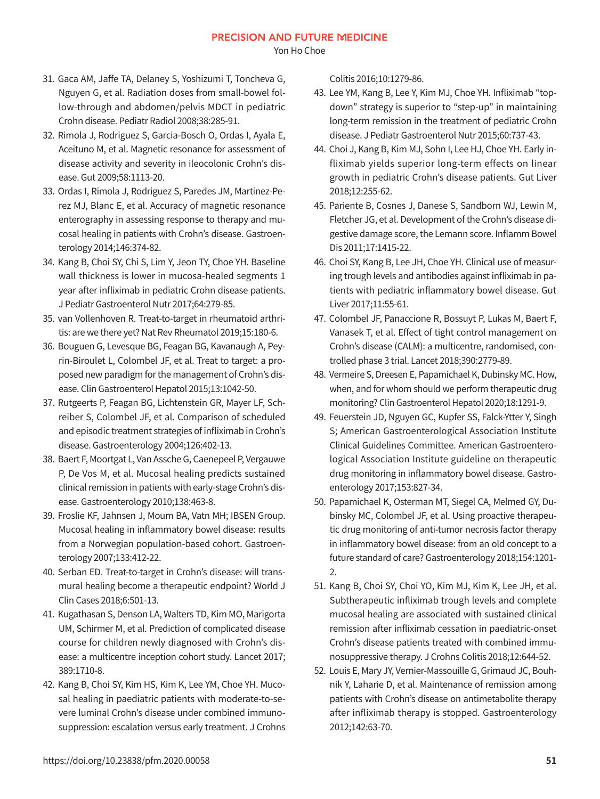Yon Ho Choe

- 31. Gaca AM, Jaffe TA, Delaney S, Yoshizumi T, Toncheva G, Nguyen G, et al. Radiation doses from small-bowel follow-through and abdomen/pelvis MDCT in pediatric Crohn disease. Pediatr Radiol 2008;38:285-91.
- 32. Rimola J, Rodriguez S, Garcia-Bosch O, Ordas I, Ayala E, Aceituno M, et al. Magnetic resonance for assessment of disease activity and severity in ileocolonic Crohn's disease. Gut 2009;58:1113-20.
- 33. Ordas I, Rimola J, Rodriguez S, Paredes JM, Martinez-Perez MJ, Blanc E, et al. Accuracy of magnetic resonance enterography in assessing response to therapy and mucosal healing in patients with Crohn's disease. Gastroenterology 2014;146:374-82.
- 34. Kang B, Choi SY, Chi S, Lim Y, Jeon TY, Choe YH. Baseline wall thickness is lower in mucosa-healed segments 1 year after infliximab in pediatric Crohn disease patients. J Pediatr Gastroenterol Nutr 2017;64:279-85.
- 35. van Vollenhoven R. Treat-to-target in rheumatoid arthritis: are we there yet? Nat Rev Rheumatol 2019;15:180-6.
- 36. Bouguen G, Levesque BG, Feagan BG, Kavanaugh A, Peyrin-Biroulet L, Colombel JF, et al. Treat to target: a proposed new paradigm for the management of Crohn's disease. Clin Gastroenterol Hepatol 2015;13:1042-50.
- 37. Rutgeerts P, Feagan BG, Lichtenstein GR, Mayer LF, Schreiber S, Colombel JF, et al. Comparison of scheduled and episodic treatment strategies of infliximab in Crohn's disease. Gastroenterology 2004;126:402-13.
- 38. Baert F, Moortgat L, Van Assche G, Caenepeel P, Vergauwe P, De Vos M, et al. Mucosal healing predicts sustained clinical remission in patients with early-stage Crohn's disease. Gastroenterology 2010;138:463-8.
- 39. Froslie KF, Jahnsen J, Moum BA, Vatn MH; IBSEN Group. Mucosal healing in inflammatory bowel disease: results from a Norwegian population-based cohort. Gastroenterology 2007;133:412-22.
- 40. Serban ED. Treat-to-target in Crohn's disease: will transmural healing become a therapeutic endpoint? World J Clin Cases 2018;6:501-13.
- 41. Kugathasan S, Denson LA, Walters TD, Kim MO, Marigorta UM, Schirmer M, et al. Prediction of complicated disease course for children newly diagnosed with Crohn's disease: a multicentre inception cohort study. Lancet 2017; 389:1710-8.
- 42. Kang B, Choi SY, Kim HS, Kim K, Lee YM, Choe YH. Mucosal healing in paediatric patients with moderate-to-severe luminal Crohn's disease under combined immunosuppression: escalation versus early treatment. J Crohns

Colitis 2016;10:1279-86.

- 43. Lee YM, Kang B, Lee Y, Kim MJ, Choe YH. Infliximab "topdown" strategy is superior to "step-up" in maintaining long-term remission in the treatment of pediatric Crohn disease. J Pediatr Gastroenterol Nutr 2015;60:737-43.
- 44. Choi J, Kang B, Kim MJ, Sohn I, Lee HJ, Choe YH. Early infliximab yields superior long-term effects on linear growth in pediatric Crohn's disease patients. Gut Liver 2018;12:255-62.
- 45. Pariente B, Cosnes J, Danese S, Sandborn WJ, Lewin M, Fletcher JG, et al. Development of the Crohn's disease digestive damage score, the Lemann score. Inflamm Bowel Dis 2011;17:1415-22.
- 46. Choi SY, Kang B, Lee JH, Choe YH. Clinical use of measuring trough levels and antibodies against infliximab in patients with pediatric inflammatory bowel disease. Gut Liver 2017;11:55-61.
- 47. Colombel JF, Panaccione R, Bossuyt P, Lukas M, Baert F, Vanasek T, et al. Effect of tight control management on Crohn's disease (CALM): a multicentre, randomised, controlled phase 3 trial. Lancet 2018;390:2779-89.
- 48. Vermeire S, Dreesen E, Papamichael K, Dubinsky MC. How, when, and for whom should we perform therapeutic drug monitoring? Clin Gastroenterol Hepatol 2020;18:1291-9.
- 49. Feuerstein JD, Nguyen GC, Kupfer SS, Falck-Ytter Y, Singh S; American Gastroenterological Association Institute Clinical Guidelines Committee. American Gastroenterological Association Institute guideline on therapeutic drug monitoring in inflammatory bowel disease. Gastroenterology 2017;153:827-34.
- 50. Papamichael K, Osterman MT, Siegel CA, Melmed GY, Dubinsky MC, Colombel JF, et al. Using proactive therapeutic drug monitoring of anti-tumor necrosis factor therapy in inflammatory bowel disease: from an old concept to a future standard of care? Gastroenterology 2018;154:1201- 2.
- 51. Kang B, Choi SY, Choi YO, Kim MJ, Kim K, Lee JH, et al. Subtherapeutic infliximab trough levels and complete mucosal healing are associated with sustained clinical remission after infliximab cessation in paediatric-onset Crohn's disease patients treated with combined immunosuppressive therapy. J Crohns Colitis 2018;12:644-52.
- 52. Louis E, Mary JY, Vernier-Massouille G, Grimaud JC, Bouhnik Y, Laharie D, et al. Maintenance of remission among patients with Crohn's disease on antimetabolite therapy after infliximab therapy is stopped. Gastroenterology 2012;142:63-70.